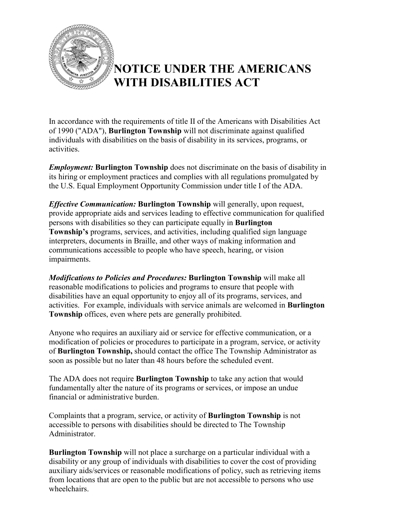

## **NOTICE UNDER THE AMERICANS WITH DISABILITIES ACT**

In accordance with the requirements of title II of the Americans with Disabilities Act of 1990 ("ADA"), **Burlington Township** will not discriminate against qualified individuals with disabilities on the basis of disability in its services, programs, or activities.

*Employment:* **Burlington Township** does not discriminate on the basis of disability in its hiring or employment practices and complies with all regulations promulgated by the U.S. Equal Employment Opportunity Commission under title I of the ADA.

*Effective Communication:* **Burlington Township** will generally, upon request, provide appropriate aids and services leading to effective communication for qualified persons with disabilities so they can participate equally in **Burlington Township's** programs, services, and activities, including qualified sign language interpreters, documents in Braille, and other ways of making information and communications accessible to people who have speech, hearing, or vision impairments.

*Modifications to Policies and Procedures:* **Burlington Township** will make all reasonable modifications to policies and programs to ensure that people with disabilities have an equal opportunity to enjoy all of its programs, services, and activities. For example, individuals with service animals are welcomed in **Burlington Township** offices, even where pets are generally prohibited.

Anyone who requires an auxiliary aid or service for effective communication, or a modification of policies or procedures to participate in a program, service, or activity of **Burlington Township,** should contact the office The Township Administrator as soon as possible but no later than 48 hours before the scheduled event.

The ADA does not require **Burlington Township** to take any action that would fundamentally alter the nature of its programs or services, or impose an undue financial or administrative burden.

Complaints that a program, service, or activity of **Burlington Township** is not accessible to persons with disabilities should be directed to The Township Administrator.

**Burlington Township** will not place a surcharge on a particular individual with a disability or any group of individuals with disabilities to cover the cost of providing auxiliary aids/services or reasonable modifications of policy, such as retrieving items from locations that are open to the public but are not accessible to persons who use wheelchairs.